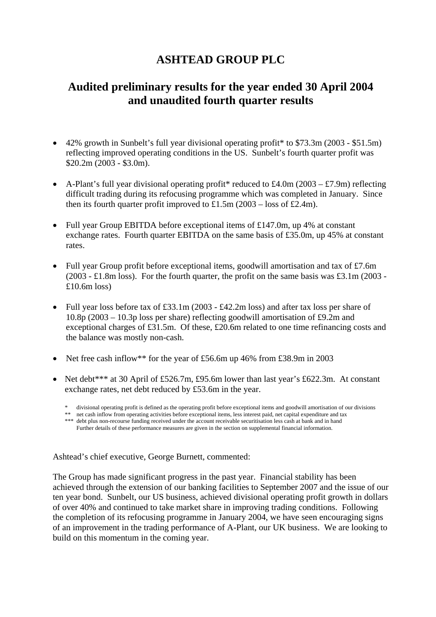# **ASHTEAD GROUP PLC**

# **Audited preliminary results for the year ended 30 April 2004 and unaudited fourth quarter results**

- 42% growth in Sunbelt's full year divisional operating profit\* to \$73.3m (2003 \$51.5m) reflecting improved operating conditions in the US. Sunbelt's fourth quarter profit was \$20.2m (2003 - \$3.0m).
- A-Plant's full year divisional operating profit<sup>\*</sup> reduced to £4.0m (2003 £7.9m) reflecting difficult trading during its refocusing programme which was completed in January. Since then its fourth quarter profit improved to £1.5m  $(2003 - \text{loss of } £2.4 \text{m})$ .
- Full year Group EBITDA before exceptional items of £147.0m, up 4% at constant exchange rates. Fourth quarter EBITDA on the same basis of £35.0m, up 45% at constant rates.
- Full year Group profit before exceptional items, goodwill amortisation and tax of £7.6m (2003 - £1.8m loss). For the fourth quarter, the profit on the same basis was £3.1m (2003 - $£10.6m$  loss)
- Full year loss before tax of £33.1m (2003 £42.2m loss) and after tax loss per share of 10.8p (2003 – 10.3p loss per share) reflecting goodwill amortisation of £9.2m and exceptional charges of £31.5m. Of these, £20.6m related to one time refinancing costs and the balance was mostly non-cash.
- Net free cash inflow\*\* for the year of £56.6m up 46% from £38.9m in 2003
- Net debt\*\*\* at 30 April of £526.7m, £95.6m lower than last year's £622.3m. At constant exchange rates, net debt reduced by £53.6m in the year.
	- \* divisional operating profit is defined as the operating profit before exceptional items and goodwill amortisation of our divisions
- \*\* net cash inflow from operating activities before exceptional items, less interest paid, net capital expenditure and tax
	- \*\*\* debt plus non-recourse funding received under the account receivable securitisation less cash at bank and in hand Further details of these performance measures are given in the section on supplemental financial information.

Ashtead's chief executive, George Burnett, commented:

The Group has made significant progress in the past year. Financial stability has been achieved through the extension of our banking facilities to September 2007 and the issue of our ten year bond. Sunbelt, our US business, achieved divisional operating profit growth in dollars of over 40% and continued to take market share in improving trading conditions. Following the completion of its refocusing programme in January 2004, we have seen encouraging signs of an improvement in the trading performance of A-Plant, our UK business. We are looking to build on this momentum in the coming year.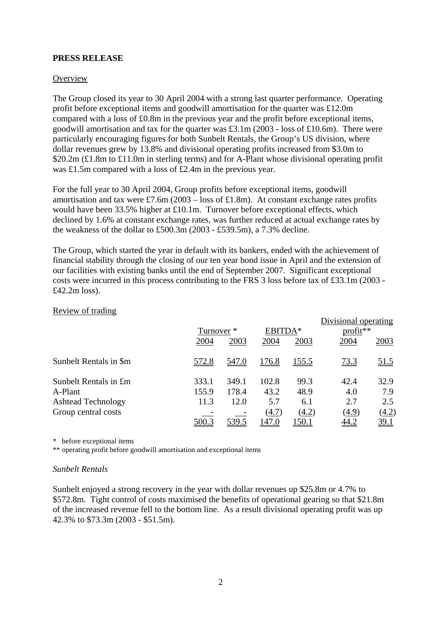## **PRESS RELEASE**

### **Overview**

The Group closed its year to 30 April 2004 with a strong last quarter performance. Operating profit before exceptional items and goodwill amortisation for the quarter was £12.0m compared with a loss of £0.8m in the previous year and the profit before exceptional items, goodwill amortisation and tax for the quarter was £3.1m (2003 - loss of £10.6m). There were particularly encouraging figures for both Sunbelt Rentals, the Group's US division, where dollar revenues grew by 13.8% and divisional operating profits increased from \$3.0m to \$20.2m (£1.8m to £11.0m in sterling terms) and for A-Plant whose divisional operating profit was £1.5m compared with a loss of £2.4m in the previous year.

For the full year to 30 April 2004, Group profits before exceptional items, goodwill amortisation and tax were £7.6m (2003 – loss of £1.8m). At constant exchange rates profits would have been 33.5% higher at £10.1m. Turnover before exceptional effects, which declined by 1.6% at constant exchange rates, was further reduced at actual exchange rates by the weakness of the dollar to £500.3m (2003 - £539.5m), a 7.3% decline.

The Group, which started the year in default with its bankers, ended with the achievement of financial stability through the closing of our ten year bond issue in April and the extension of our facilities with existing banks until the end of September 2007. Significant exceptional costs were incurred in this process contributing to the FRS 3 loss before tax of £33.1m (2003 - £42.2m loss).

|                           |       |              |              |              | Divisional operating |              |
|---------------------------|-------|--------------|--------------|--------------|----------------------|--------------|
|                           |       | Turnover *   |              | EBITDA*      | profit**             |              |
|                           | 2004  | 2003         | 2004         | 2003         | 2004                 | 2003         |
| Sunbelt Rentals in \$m    | 572.8 | 547.0        | <u>176.8</u> | <u>155.5</u> | <u>73.3</u>          | <u>51.5</u>  |
| Sunbelt Rentals in £m     | 333.1 | 349.1        | 102.8        | 99.3         | 42.4                 | 32.9         |
| A-Plant                   | 155.9 | 178.4        | 43.2         | 48.9         | 4.0                  | 7.9          |
| <b>Ashtead Technology</b> | 11.3  | 12.0         | 5.7          | 6.1          | 2.7                  | 2.5          |
| Group central costs       |       |              | (4.7)        | (4.2)        | (4.9)                | <u>(4.2)</u> |
|                           | 500.3 | <u>539.5</u> | 147.0        | <u>150.1</u> | <u>44.2</u>          | <u>39.1</u>  |

#### Review of trading

\* before exceptional items

\*\* operating profit before goodwill amortisation and exceptional items

#### *Sunbelt Rentals*

Sunbelt enjoyed a strong recovery in the year with dollar revenues up \$25.8m or 4.7% to \$572.8m. Tight control of costs maximised the benefits of operational gearing so that \$21.8m of the increased revenue fell to the bottom line. As a result divisional operating profit was up 42.3% to \$73.3m (2003 - \$51.5m).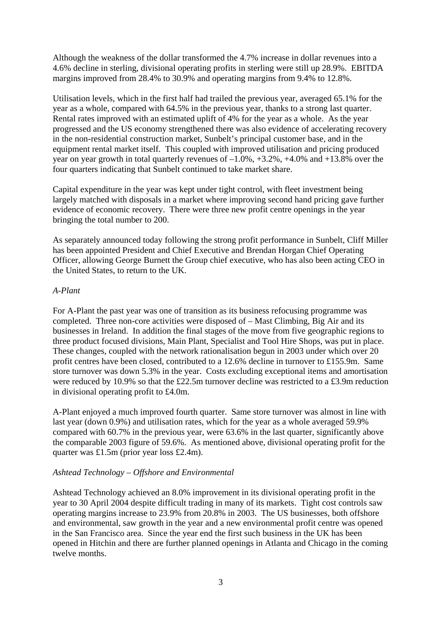Although the weakness of the dollar transformed the 4.7% increase in dollar revenues into a 4.6% decline in sterling, divisional operating profits in sterling were still up 28.9%. EBITDA margins improved from 28.4% to 30.9% and operating margins from 9.4% to 12.8%.

Utilisation levels, which in the first half had trailed the previous year, averaged 65.1% for the year as a whole, compared with 64.5% in the previous year, thanks to a strong last quarter. Rental rates improved with an estimated uplift of 4% for the year as a whole. As the year progressed and the US economy strengthened there was also evidence of accelerating recovery in the non-residential construction market, Sunbelt's principal customer base, and in the equipment rental market itself. This coupled with improved utilisation and pricing produced year on year growth in total quarterly revenues of  $-1.0\%$ ,  $+3.2\%$ ,  $+4.0\%$  and  $+13.8\%$  over the four quarters indicating that Sunbelt continued to take market share.

Capital expenditure in the year was kept under tight control, with fleet investment being largely matched with disposals in a market where improving second hand pricing gave further evidence of economic recovery. There were three new profit centre openings in the year bringing the total number to 200.

As separately announced today following the strong profit performance in Sunbelt, Cliff Miller has been appointed President and Chief Executive and Brendan Horgan Chief Operating Officer, allowing George Burnett the Group chief executive, who has also been acting CEO in the United States, to return to the UK.

## *A-Plant*

For A-Plant the past year was one of transition as its business refocusing programme was completed. Three non-core activities were disposed of – Mast Climbing, Big Air and its businesses in Ireland. In addition the final stages of the move from five geographic regions to three product focused divisions, Main Plant, Specialist and Tool Hire Shops, was put in place. These changes, coupled with the network rationalisation begun in 2003 under which over 20 profit centres have been closed, contributed to a 12.6% decline in turnover to £155.9m. Same store turnover was down 5.3% in the year. Costs excluding exceptional items and amortisation were reduced by 10.9% so that the £22.5m turnover decline was restricted to a £3.9m reduction in divisional operating profit to £4.0m.

A-Plant enjoyed a much improved fourth quarter. Same store turnover was almost in line with last year (down 0.9%) and utilisation rates, which for the year as a whole averaged 59.9% compared with 60.7% in the previous year, were 63.6% in the last quarter, significantly above the comparable 2003 figure of 59.6%. As mentioned above, divisional operating profit for the quarter was £1.5m (prior year loss £2.4m).

# *Ashtead Technology – Offshore and Environmental*

Ashtead Technology achieved an 8.0% improvement in its divisional operating profit in the year to 30 April 2004 despite difficult trading in many of its markets. Tight cost controls saw operating margins increase to 23.9% from 20.8% in 2003. The US businesses, both offshore and environmental, saw growth in the year and a new environmental profit centre was opened in the San Francisco area. Since the year end the first such business in the UK has been opened in Hitchin and there are further planned openings in Atlanta and Chicago in the coming twelve months.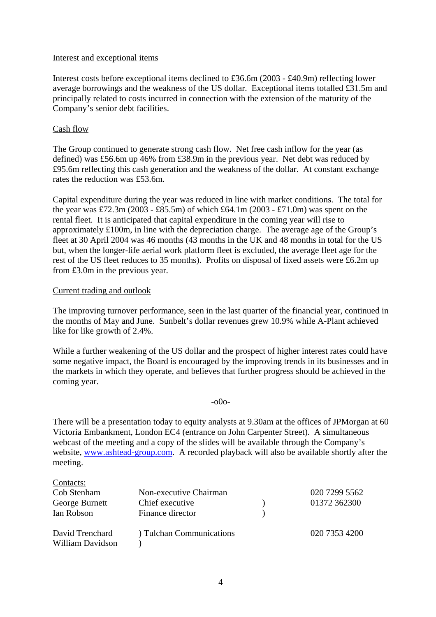### Interest and exceptional items

Interest costs before exceptional items declined to £36.6m (2003 - £40.9m) reflecting lower average borrowings and the weakness of the US dollar. Exceptional items totalled £31.5m and principally related to costs incurred in connection with the extension of the maturity of the Company's senior debt facilities.

## Cash flow

The Group continued to generate strong cash flow. Net free cash inflow for the year (as defined) was £56.6m up 46% from £38.9m in the previous year. Net debt was reduced by £95.6m reflecting this cash generation and the weakness of the dollar. At constant exchange rates the reduction was £53.6m.

Capital expenditure during the year was reduced in line with market conditions. The total for the year was £72.3m (2003 - £85.5m) of which £64.1m (2003 - £71.0m) was spent on the rental fleet. It is anticipated that capital expenditure in the coming year will rise to approximately £100m, in line with the depreciation charge. The average age of the Group's fleet at 30 April 2004 was 46 months (43 months in the UK and 48 months in total for the US but, when the longer-life aerial work platform fleet is excluded, the average fleet age for the rest of the US fleet reduces to 35 months). Profits on disposal of fixed assets were £6.2m up from £3.0m in the previous year.

#### Current trading and outlook

The improving turnover performance, seen in the last quarter of the financial year, continued in the months of May and June. Sunbelt's dollar revenues grew 10.9% while A-Plant achieved like for like growth of 2.4%.

While a further weakening of the US dollar and the prospect of higher interest rates could have some negative impact, the Board is encouraged by the improving trends in its businesses and in the markets in which they operate, and believes that further progress should be achieved in the coming year.

### -o0o-

There will be a presentation today to equity analysts at 9.30am at the offices of JPMorgan at 60 Victoria Embankment, London EC4 (entrance on John Carpenter Street). A simultaneous webcast of the meeting and a copy of the slides will be available through the Company's website, [www.ashtead-group.com](http://www.ashtead-group.com/). A recorded playback will also be available shortly after the meeting.

| Contacts:                           |                          |               |
|-------------------------------------|--------------------------|---------------|
| Cob Stenham                         | Non-executive Chairman   | 020 7299 5562 |
| George Burnett                      | Chief executive          | 01372 362300  |
| Ian Robson                          | Finance director         |               |
| David Trenchard<br>William Davidson | ) Tulchan Communications | 020 7353 4200 |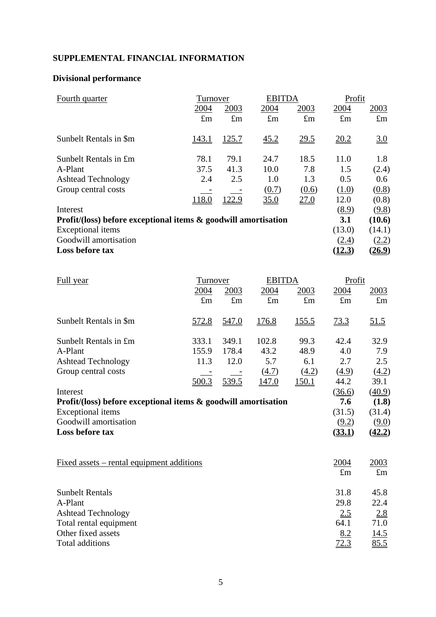# **SUPPLEMENTAL FINANCIAL INFORMATION**

# **Divisional performance**

| Fourth quarter                                                    | Turnover     |              | <b>EBITDA</b>      |             | Profit      |             |
|-------------------------------------------------------------------|--------------|--------------|--------------------|-------------|-------------|-------------|
|                                                                   | 2004         | 2003         | 2004               | 2003        | 2004        | <u>2003</u> |
|                                                                   | $\pounds$ m  | $\pounds$ m  | $\pounds$ m        | $\pounds$ m | $\pounds$ m | $\pounds$ m |
| Sunbelt Rentals in \$m                                            | <u>143.1</u> | <u>125.7</u> | $\underline{45.2}$ | 29.5        | 20.2        | 3.0         |
| Sunbelt Rentals in £m                                             | 78.1         | 79.1         | 24.7               | 18.5        | 11.0        | 1.8         |
| A-Plant                                                           | 37.5         | 41.3         | 10.0               | 7.8         | 1.5         | (2.4)       |
| <b>Ashtead Technology</b>                                         | 2.4          | 2.5          | 1.0                | 1.3         | 0.5         | 0.6         |
| Group central costs                                               |              |              | (0.7)              | (0.6)       | (1.0)       | (0.8)       |
|                                                                   | 118.0        | 122.9        | 35.0               | 27.0        | 12.0        | (0.8)       |
| Interest                                                          |              |              |                    |             | (8.9)       | (9.8)       |
| Profit/(loss) before exceptional items $\&$ goodwill amortisation |              |              |                    |             | 3.1         | (10.6)      |
| <b>Exceptional</b> items                                          |              |              |                    |             | (13.0)      | (14.1)      |
| Goodwill amortisation                                             |              |              |                    |             | (2.4)       | (2.2)       |
| Loss before tax                                                   |              |              |                    |             | (12.3)      | (26.9)      |

| Full year                                                         | Turnover          |             | <b>EBITDA</b> |             | Profit           |                    |
|-------------------------------------------------------------------|-------------------|-------------|---------------|-------------|------------------|--------------------|
|                                                                   | 2004              | 2003        | 2004          | 2003        | 2004             | <u>2003</u>        |
|                                                                   | $\pounds$ m       | $\pounds$ m | $\pounds$ m   | $\pounds$ m | $\pounds$ m      | $\pounds$ m        |
| Sunbelt Rentals in \$m                                            | $\frac{572.8}{2}$ | 547.0       | <u>176.8</u>  | 155.5       | $\frac{73.3}{2}$ | $\underline{51.5}$ |
| Sunbelt Rentals in £m                                             | 333.1             | 349.1       | 102.8         | 99.3        | 42.4             | 32.9               |
| A-Plant                                                           | 155.9             | 178.4       | 43.2          | 48.9        | 4.0              | 7.9                |
| <b>Ashtead Technology</b>                                         | 11.3              | 12.0        | 5.7           | 6.1         | 2.7              | 2.5                |
| Group central costs                                               |                   |             | (4.7)         | (4.2)       | (4.9)            | (4.2)              |
|                                                                   | 500.3             | 539.5       | <u>147.0</u>  | 150.1       | 44.2             | 39.1               |
| Interest                                                          |                   |             |               |             | (36.6)           | (40.9)             |
| Profit/(loss) before exceptional items $\&$ goodwill amortisation |                   |             |               |             | 7.6              | (1.8)              |
| <b>Exceptional</b> items                                          |                   |             |               |             | (31.5)           | (31.4)             |
| Goodwill amortisation                                             |                   |             |               |             | (9.2)            | (9.0)              |
| Loss before tax                                                   |                   |             |               |             | (33.1)           | (42.2)             |
| <u>Fixed assets – rental equipment additions</u>                  |                   |             |               |             | 2004             | 2003               |
|                                                                   |                   |             |               |             | $\pounds$ m      | $\pounds$ m        |
| <b>Sunbelt Rentals</b>                                            |                   |             |               |             | 31.8             | 45.8               |
| A-Plant                                                           |                   |             |               |             | 29.8             | 22.4               |
| <b>Ashtead Technology</b>                                         |                   |             |               |             | 2.5              | 2.8                |
| Total rental equipment                                            |                   |             |               |             | 64.1             | 71.0               |
| Other fixed assets                                                |                   |             |               |             | 8.2              | <u>14.5</u>        |
| Total additions                                                   |                   |             |               |             | 72.3             | 85.5               |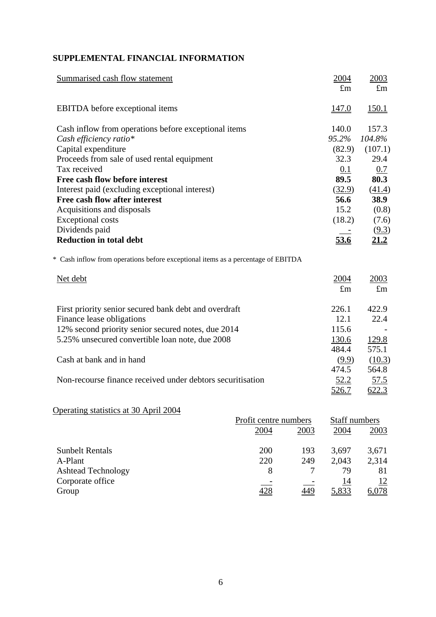# **SUPPLEMENTAL FINANCIAL INFORMATION**

| Summarised cash flow statement                                                   | 2004         | 2003         |
|----------------------------------------------------------------------------------|--------------|--------------|
|                                                                                  | $\pounds$ m  | $\pounds$ m  |
| <b>EBITDA</b> before exceptional items                                           | 147.0        | <u>150.1</u> |
| Cash inflow from operations before exceptional items                             | 140.0        | 157.3        |
| Cash efficiency ratio*                                                           | 95.2%        | 104.8%       |
| Capital expenditure                                                              | (82.9)       | (107.1)      |
| Proceeds from sale of used rental equipment                                      | 32.3         | 29.4         |
| Tax received                                                                     | 0.1          | 0.7          |
| Free cash flow before interest                                                   | 89.5         | 80.3         |
| Interest paid (excluding exceptional interest)                                   | (32.9)       | (41.4)       |
| Free cash flow after interest                                                    | 56.6         | 38.9         |
| Acquisitions and disposals                                                       | 15.2         | (0.8)        |
| <b>Exceptional costs</b>                                                         | (18.2)       | (7.6)        |
| Dividends paid                                                                   |              | (9.3)        |
| <b>Reduction in total debt</b>                                                   | 53.6         | 21.2         |
| * Cash inflow from operations before exceptional items as a percentage of EBITDA |              |              |
| Net debt                                                                         | 2004         | 2003         |
|                                                                                  | $\pounds$ m  | $\pounds$ m  |
| First priority senior secured bank debt and overdraft                            | 226.1        | 422.9        |
| Finance lease obligations                                                        | 12.1         | 22.4         |
| 12% second priority senior secured notes, due 2014                               | 115.6        |              |
| 5.25% unsecured convertible loan note, due 2008                                  | <u>130.6</u> | 129.8        |
|                                                                                  | 484.4        | 575.1        |
| Cash at bank and in hand                                                         | (9.9)        | (10.3)       |
|                                                                                  | 474.5        | 564.8        |
| Non-recourse finance received under debtors securitisation                       | 52.2         | 57.5         |
|                                                                                  | <u>526.7</u> | 622.3        |
|                                                                                  |              |              |

# Operating statistics at 30 April 2004

|                           | Profit centre numbers | Staff numbers |       |       |
|---------------------------|-----------------------|---------------|-------|-------|
|                           | 2004                  | 2003          | 2004  | 2003  |
| <b>Sunbelt Rentals</b>    | 200                   | 193           | 3,697 | 3,671 |
| A-Plant                   | 220                   | 249           | 2,043 | 2,314 |
| <b>Ashtead Technology</b> | 8                     |               | 79    | 81    |
| Corporate office          |                       |               | 14    | 12    |
| Group                     |                       | 449           | 5,833 | 6,078 |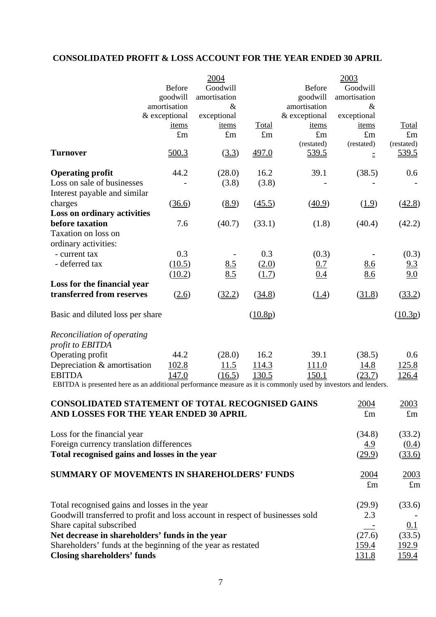# **CONSOLIDATED PROFIT & LOSS ACCOUNT FOR THE YEAR ENDED 30 APRIL**

|                                                                                                                |               | 2004         |              |               | 2003         |              |
|----------------------------------------------------------------------------------------------------------------|---------------|--------------|--------------|---------------|--------------|--------------|
|                                                                                                                | <b>Before</b> | Goodwill     |              | <b>Before</b> | Goodwill     |              |
|                                                                                                                | goodwill      | amortisation |              | goodwill      | amortisation |              |
|                                                                                                                | amortisation  | $\&$         |              | amortisation  | $\&$         |              |
|                                                                                                                | & exceptional | exceptional  |              | & exceptional | exceptional  |              |
|                                                                                                                | <u>items</u>  | items        | Total        | <u>items</u>  | items        | <b>Total</b> |
|                                                                                                                | $\pounds$ m   | $\pounds$ m  | $\pounds$ m  | $\pounds$ m   | $\pounds$ m  | $\pounds$ m  |
|                                                                                                                |               |              |              | (restated)    | (restated)   | (restated)   |
| <b>Turnover</b>                                                                                                | 500.3         | (3.3)        | 497.0        | <u>539.5</u>  | $\equiv$     | <u>539.5</u> |
| <b>Operating profit</b>                                                                                        | 44.2          | (28.0)       | 16.2         | 39.1          | (38.5)       | 0.6          |
| Loss on sale of businesses                                                                                     |               | (3.8)        | (3.8)        |               |              |              |
| Interest payable and similar                                                                                   |               |              |              |               |              |              |
| charges                                                                                                        | (36.6)        | (8.9)        | (45.5)       | (40.9)        | (1.9)        | (42.8)       |
| <b>Loss on ordinary activities</b>                                                                             |               |              |              |               |              |              |
| before taxation                                                                                                | 7.6           | (40.7)       | (33.1)       | (1.8)         | (40.4)       | (42.2)       |
| Taxation on loss on                                                                                            |               |              |              |               |              |              |
| ordinary activities:                                                                                           |               |              |              |               |              |              |
| - current tax                                                                                                  | 0.3           |              | 0.3          | (0.3)         |              | (0.3)        |
| - deferred tax                                                                                                 | (10.5)        | 8.5          | (2.0)        | 0.7           | 8.6          | 9.3          |
|                                                                                                                | (10.2)        | 8.5          | (1.7)        | 0.4           | 8.6          | 9.0          |
| Loss for the financial year                                                                                    |               |              |              |               |              |              |
| transferred from reserves                                                                                      | (2.6)         | (32.2)       | (34.8)       | (1.4)         | (31.8)       | (33.2)       |
| Basic and diluted loss per share                                                                               |               |              | (10.8p)      |               |              | (10.3p)      |
| Reconciliation of operating                                                                                    |               |              |              |               |              |              |
| profit to EBITDA                                                                                               |               |              |              |               |              |              |
| Operating profit                                                                                               | 44.2          | (28.0)       | 16.2         | 39.1          | (38.5)       | 0.6          |
| Depreciation & amortisation                                                                                    | 102.8         | 11.5         | 114.3        | 111.0         | 14.8         | 125.8        |
| <b>EBITDA</b>                                                                                                  | 147.0         | (16.5)       | <u>130.5</u> | 150.1         | (23.7)       | <u>126.4</u> |
| EBITDA is presented here as an additional performance measure as it is commonly used by investors and lenders. |               |              |              |               |              |              |
| <b>CONSOLIDATED STATEMENT OF TOTAL RECOGNISED GAINS</b>                                                        |               |              |              |               | 2004         | <u>2003</u>  |
| AND LOSSES FOR THE YEAR ENDED 30 APRIL                                                                         |               |              |              |               | $\pounds$ m  | $\pounds$ m  |
| Loss for the financial year                                                                                    |               |              |              |               | (34.8)       | (33.2)       |
| Foreign currency translation differences                                                                       |               |              |              |               | 4.9          | (0.4)        |
| Total recognised gains and losses in the year                                                                  |               |              |              |               | (29.9)       | (33.6)       |

# **SUMMARY OF MOVEMENTS IN SHAREHOLDERS' FUNDS**  $2004$  2003

| Total recognised gains and losses in the year                                 | (29.9)   | (33.6) |
|-------------------------------------------------------------------------------|----------|--------|
| Goodwill transferred to profit and loss account in respect of businesses sold | 2.3      |        |
| Share capital subscribed                                                      | $\equiv$ | 0.1    |
| Net decrease in shareholders' funds in the year                               | (27.6)   | (33.5) |
| Shareholders' funds at the beginning of the year as restated                  | 159.4    | 192.9  |
| Closing shareholders' funds                                                   | 131.8    | 159.4  |

Total recognised gains and losses in the year  $\sqrt{(29.9)}$  (33.6)

£m £m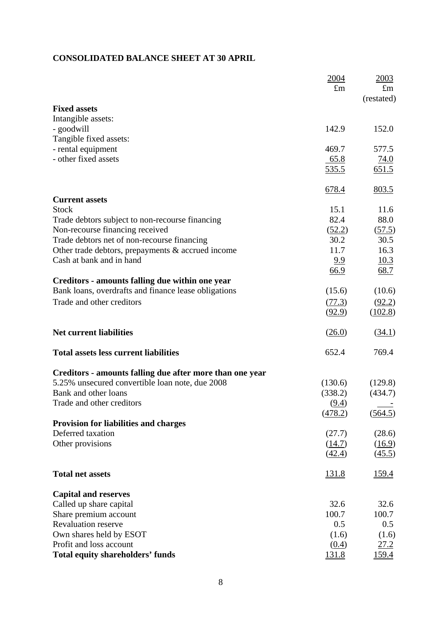# **CONSOLIDATED BALANCE SHEET AT 30 APRIL**

|                                                          | 2004         | 2003         |
|----------------------------------------------------------|--------------|--------------|
|                                                          | $\pounds$ m  | $\pounds$ m  |
|                                                          |              | (restated)   |
| <b>Fixed assets</b>                                      |              |              |
| Intangible assets:                                       |              |              |
| - goodwill                                               | 142.9        | 152.0        |
| Tangible fixed assets:                                   |              |              |
| - rental equipment                                       | 469.7        | 577.5        |
| - other fixed assets                                     | 65.8         | 74.0         |
|                                                          | 535.5        | 651.5        |
|                                                          | 678.4        | 803.5        |
| <b>Current assets</b>                                    |              |              |
| <b>Stock</b>                                             | 15.1         | 11.6         |
| Trade debtors subject to non-recourse financing          | 82.4         | 88.0         |
| Non-recourse financing received                          | (52.2)       | (57.5)       |
| Trade debtors net of non-recourse financing              | 30.2         | 30.5         |
| Other trade debtors, prepayments & accrued income        | 11.7         | 16.3         |
| Cash at bank and in hand                                 | 9.9          | 10.3         |
|                                                          | 66.9         | 68.7         |
| Creditors - amounts falling due within one year          |              |              |
| Bank loans, overdrafts and finance lease obligations     | (15.6)       | (10.6)       |
| Trade and other creditors                                | (77.3)       | (92.2)       |
|                                                          | (92.9)       | (102.8)      |
| <b>Net current liabilities</b>                           | (26.0)       | (34.1)       |
| <b>Total assets less current liabilities</b>             | 652.4        | 769.4        |
| Creditors - amounts falling due after more than one year |              |              |
| 5.25% unsecured convertible loan note, due 2008          | (130.6)      | (129.8)      |
| Bank and other loans                                     | (338.2)      | (434.7)      |
| Trade and other creditors                                | (9.4)        |              |
|                                                          | (478.2)      | (564.5)      |
| <b>Provision for liabilities and charges</b>             |              |              |
| Deferred taxation                                        | (27.7)       | (28.6)       |
| Other provisions                                         | (14.7)       | (16.9)       |
|                                                          | (42.4)       | (45.5)       |
| <b>Total net assets</b>                                  | 131.8        | <u>159.4</u> |
| <b>Capital and reserves</b>                              |              |              |
| Called up share capital                                  | 32.6         | 32.6         |
| Share premium account                                    | 100.7        | 100.7        |
| <b>Revaluation reserve</b>                               | 0.5          | 0.5          |
| Own shares held by ESOT                                  | (1.6)        | (1.6)        |
| Profit and loss account                                  | (0.4)        | 27.2         |
| <b>Total equity shareholders' funds</b>                  | <u>131.8</u> | <u>159.4</u> |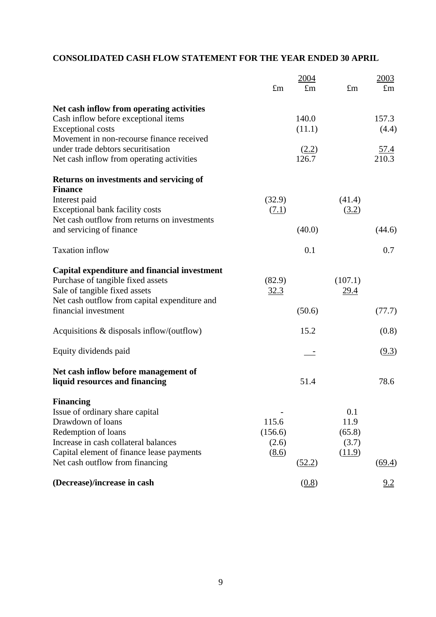# **CONSOLIDATED CASH FLOW STATEMENT FOR THE YEAR ENDED 30 APRIL**

|                                                                                 | $\pounds$ m | 2004<br>$\pounds$ m | $\pounds$ m | 2003<br>$\pounds$ m |
|---------------------------------------------------------------------------------|-------------|---------------------|-------------|---------------------|
|                                                                                 |             |                     |             |                     |
| Net cash inflow from operating activities                                       |             |                     |             |                     |
| Cash inflow before exceptional items                                            |             | 140.0               |             | 157.3               |
| <b>Exceptional costs</b><br>Movement in non-recourse finance received           |             | (11.1)              |             | (4.4)               |
| under trade debtors securitisation                                              |             | (2.2)               |             | <u>57.4</u>         |
| Net cash inflow from operating activities                                       |             | 126.7               |             | 210.3               |
| <b>Returns on investments and servicing of</b>                                  |             |                     |             |                     |
| <b>Finance</b>                                                                  |             |                     |             |                     |
| Interest paid                                                                   | (32.9)      |                     | (41.4)      |                     |
| Exceptional bank facility costs<br>Net cash outflow from returns on investments | (7.1)       |                     | (3.2)       |                     |
| and servicing of finance                                                        |             | (40.0)              |             | (44.6)              |
| <b>Taxation</b> inflow                                                          |             | 0.1                 |             | 0.7                 |
| Capital expenditure and financial investment                                    |             |                     |             |                     |
| Purchase of tangible fixed assets                                               | (82.9)      |                     | (107.1)     |                     |
| Sale of tangible fixed assets                                                   | 32.3        |                     | 29.4        |                     |
| Net cash outflow from capital expenditure and                                   |             |                     |             |                     |
| financial investment                                                            |             | (50.6)              |             | (77.7)              |
| Acquisitions $\&$ disposals inflow/(outflow)                                    |             | 15.2                |             | (0.8)               |
| Equity dividends paid                                                           |             |                     |             | (9.3)               |
| Net cash inflow before management of                                            |             |                     |             |                     |
| liquid resources and financing                                                  |             | 51.4                |             | 78.6                |
| <b>Financing</b>                                                                |             |                     |             |                     |
| Issue of ordinary share capital                                                 |             |                     | 0.1         |                     |
| Drawdown of loans                                                               | 115.6       |                     | 11.9        |                     |
| Redemption of loans                                                             | (156.6)     |                     | (65.8)      |                     |
| Increase in cash collateral balances                                            | (2.6)       |                     | (3.7)       |                     |
| Capital element of finance lease payments<br>Net cash outflow from financing    | (8.6)       | (52.2)              | (11.9)      | (69.4)              |
|                                                                                 |             |                     |             |                     |
| (Decrease)/increase in cash                                                     |             | (0.8)               |             | <u>9.2</u>          |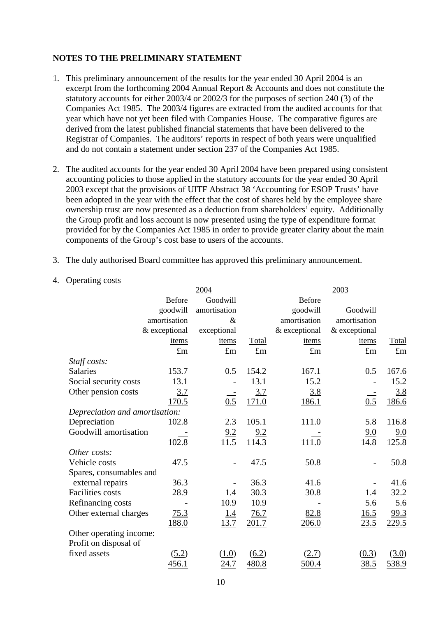# **NOTES TO THE PRELIMINARY STATEMENT**

- 1. This preliminary announcement of the results for the year ended 30 April 2004 is an excerpt from the forthcoming 2004 Annual Report & Accounts and does not constitute the statutory accounts for either 2003/4 or 2002/3 for the purposes of section 240 (3) of the Companies Act 1985. The 2003/4 figures are extracted from the audited accounts for that year which have not yet been filed with Companies House. The comparative figures are derived from the latest published financial statements that have been delivered to the Registrar of Companies. The auditors' reports in respect of both years were unqualified and do not contain a statement under section 237 of the Companies Act 1985.
- 2. The audited accounts for the year ended 30 April 2004 have been prepared using consistent accounting policies to those applied in the statutory accounts for the year ended 30 April 2003 except that the provisions of UITF Abstract 38 'Accounting for ESOP Trusts' have been adopted in the year with the effect that the cost of shares held by the employee share ownership trust are now presented as a deduction from shareholders' equity. Additionally the Group profit and loss account is now presented using the type of expenditure format provided for by the Companies Act 1985 in order to provide greater clarity about the main components of the Group's cost base to users of the accounts.
- 3. The duly authorised Board committee has approved this preliminary announcement.
- 4. Operating costs

|                                | 2004          |              |                     | 2003          |               |             |
|--------------------------------|---------------|--------------|---------------------|---------------|---------------|-------------|
|                                | <b>Before</b> | Goodwill     |                     | <b>Before</b> |               |             |
|                                | goodwill      | amortisation |                     | goodwill      | Goodwill      |             |
|                                | amortisation  | $\&$         |                     | amortisation  | amortisation  |             |
|                                | & exceptional | exceptional  |                     | & exceptional | & exceptional |             |
|                                | items         | items        | Total               | items         | items         | Total       |
|                                | £m            | $\pounds$ m  | $\pounds$ m         | $\pounds$ m   | £m            | $\pounds$ m |
| Staff costs:                   |               |              |                     |               |               |             |
| <b>Salaries</b>                | 153.7         | 0.5          | 154.2               | 167.1         | 0.5           | 167.6       |
| Social security costs          | 13.1          |              | 13.1                | 15.2          |               | 15.2        |
| Other pension costs            | 3.7           |              | <u>3.7</u>          | <u>3.8</u>    |               | 3.8         |
|                                | 170.5         | 0.5          | 171.0               | <u>186.1</u>  | 0.5           | 186.6       |
| Depreciation and amortisation: |               |              |                     |               |               |             |
| Depreciation                   | 102.8         | 2.3          | 105.1               | 111.0         | 5.8           | 116.8       |
| Goodwill amortisation          |               | 9.2          | 9.2                 |               | 9.0           | 9.0         |
|                                | 102.8         | 11.5         | 114.3               | 111.0         | 14.8          | 125.8       |
| Other costs:                   |               |              |                     |               |               |             |
| Vehicle costs                  | 47.5          |              | 47.5                | 50.8          | -             | 50.8        |
| Spares, consumables and        |               |              |                     |               |               |             |
| external repairs               | 36.3          |              | 36.3                | 41.6          |               | 41.6        |
| <b>Facilities</b> costs        | 28.9          | 1.4          | 30.3                | 30.8          | 1.4           | 32.2        |
| Refinancing costs              |               | 10.9         | 10.9                |               | 5.6           | 5.6         |
| Other external charges         | 75.3          | <u>1.4</u>   | 76.7                | 82.8          | 16.5          | 99.3        |
|                                | <u>188.0</u>  | 13.7         | 201.7               | 206.0         | 23.5          | 229.5       |
| Other operating income:        |               |              |                     |               |               |             |
| Profit on disposal of          |               |              |                     |               |               |             |
| fixed assets                   | (5.2)         | (1.0)        | $\underline{(6.2)}$ | (2.7)         | (0.3)         | (3.0)       |
|                                | <u>456.1</u>  | <u>24.7</u>  | 480.8               | 500.4         | 38.5          | 538.9       |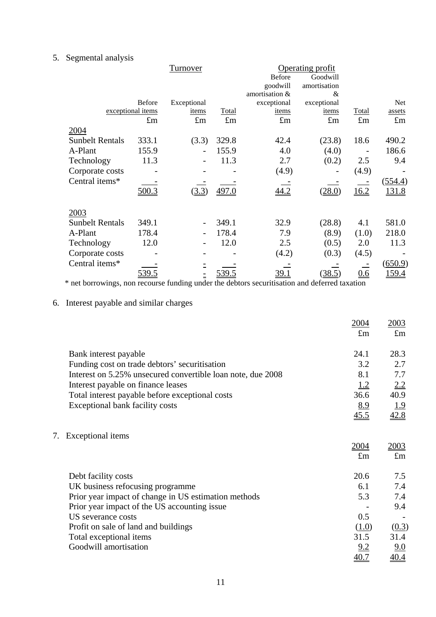# 5. Segmental analysis

|                        | Turnover          |             |              | Operating profit |              |             |               |
|------------------------|-------------------|-------------|--------------|------------------|--------------|-------------|---------------|
|                        |                   |             |              | <b>Before</b>    | Goodwill     |             |               |
|                        |                   |             |              | goodwill         | amortisation |             |               |
|                        |                   |             |              | amortisation &   | &            |             |               |
|                        | Before            | Exceptional |              | exceptional      | exceptional  |             | Net           |
|                        | exceptional items | items       | <b>Total</b> | items            | items        | Total       | assets        |
|                        | $\pounds$ m       | $\pounds$ m | $\pounds$ m  | $\pounds$ m      | $\pounds$ m  | $\pounds$ m | $\pounds$ m   |
| 2004                   |                   |             |              |                  |              |             |               |
| <b>Sunbelt Rentals</b> | 333.1             | (3.3)       | 329.8        | 42.4             | (23.8)       | 18.6        | 490.2         |
| A-Plant                | 155.9             |             | 155.9        | 4.0              | (4.0)        |             | 186.6         |
| Technology             | 11.3              |             | 11.3         | 2.7              | (0.2)        | 2.5         | 9.4           |
| Corporate costs        |                   |             |              | (4.9)            |              | (4.9)       |               |
| Central items*         |                   |             |              |                  |              |             | (554.4)       |
|                        | 500.3             | (3.3)       | 497.0        | 44.2             | (28.0)       | 16.2        | <u>131.8</u>  |
| 2003                   |                   |             |              |                  |              |             |               |
| <b>Sunbelt Rentals</b> | 349.1             |             | 349.1        | 32.9             | (28.8)       | 4.1         | 581.0         |
| A-Plant                | 178.4             |             | 178.4        | 7.9              | (8.9)        | (1.0)       | 218.0         |
| Technology             | 12.0              |             | 12.0         | 2.5              | (0.5)        | 2.0         | 11.3          |
| Corporate costs        |                   |             |              | (4.2)            | (0.3)        | (4.5)       |               |
| Central items*         |                   |             |              |                  |              |             | (650.9)       |
|                        | <u>539.5</u>      | Ξ           | 539.5        | <u>39.1</u>      | (38.5)       | 0.6         | <u> 159.4</u> |

\* net borrowings, non recourse funding under the debtors securitisation and deferred taxation

# 6. Interest payable and similar charges

|                                                             | 2004<br>$\pounds$ m | 2003<br>$\mathbf{f}_{\text{m}}$ |
|-------------------------------------------------------------|---------------------|---------------------------------|
| Bank interest payable                                       | 24.1                | 28.3                            |
| Funding cost on trade debtors' securitisation               | 3.2                 | 2.7                             |
| Interest on 5.25% unsecured convertible loan note, due 2008 | 8.1                 | 7.7                             |
| Interest payable on finance leases                          | 1.2                 | 2.2                             |
| Total interest payable before exceptional costs             | 36.6                | 40.9                            |
| Exceptional bank facility costs                             | 8.9                 | 1.9                             |
|                                                             | 45.5                | 42.8                            |
| Exceptional items<br>7.                                     |                     |                                 |
|                                                             | 2004                | 2003                            |
|                                                             | $\pounds$ m         | $\pounds$ m                     |
| Debt facility costs                                         | 20.6                | 7.5                             |
| UK business refocusing programme                            | 6.1                 | 7.4                             |
| Prior year impact of change in US estimation methods        | 5.3                 | 7.4                             |
| Prior year impact of the US accounting issue.               |                     | 9.4                             |
| US severance costs                                          | 0.5                 |                                 |
| Profit on sale of land and buildings                        | (1.0)               | (0.3)                           |
| Total exceptional items                                     | 31.5                | 31.4                            |
| Goodwill amortisation                                       | 9.2                 | 9.0                             |
|                                                             | 40.7                | 40.4                            |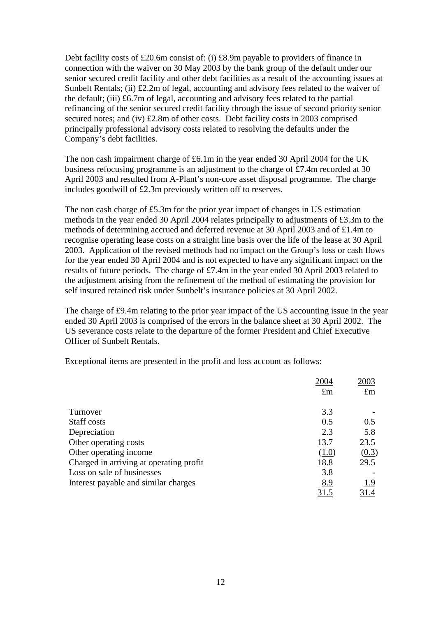Debt facility costs of £20.6m consist of: (i) £8.9m payable to providers of finance in connection with the waiver on 30 May 2003 by the bank group of the default under our senior secured credit facility and other debt facilities as a result of the accounting issues at Sunbelt Rentals; (ii) £2.2m of legal, accounting and advisory fees related to the waiver of the default; (iii) £6.7m of legal, accounting and advisory fees related to the partial refinancing of the senior secured credit facility through the issue of second priority senior secured notes; and (iv) £2.8m of other costs. Debt facility costs in 2003 comprised principally professional advisory costs related to resolving the defaults under the Company's debt facilities.

The non cash impairment charge of £6.1m in the year ended 30 April 2004 for the UK business refocusing programme is an adjustment to the charge of £7.4m recorded at 30 April 2003 and resulted from A-Plant's non-core asset disposal programme. The charge includes goodwill of £2.3m previously written off to reserves.

The non cash charge of £5.3m for the prior year impact of changes in US estimation methods in the year ended 30 April 2004 relates principally to adjustments of £3.3m to the methods of determining accrued and deferred revenue at 30 April 2003 and of £1.4m to recognise operating lease costs on a straight line basis over the life of the lease at 30 April 2003. Application of the revised methods had no impact on the Group's loss or cash flows for the year ended 30 April 2004 and is not expected to have any significant impact on the results of future periods. The charge of £7.4m in the year ended 30 April 2003 related to the adjustment arising from the refinement of the method of estimating the provision for self insured retained risk under Sunbelt's insurance policies at 30 April 2002.

The charge of £9.4m relating to the prior year impact of the US accounting issue in the year ended 30 April 2003 is comprised of the errors in the balance sheet at 30 April 2002. The US severance costs relate to the departure of the former President and Chief Executive Officer of Sunbelt Rentals.

Exceptional items are presented in the profit and loss account as follows:

|                                         | 2004        | 2003        |
|-----------------------------------------|-------------|-------------|
|                                         | $\pounds$ m | $\pounds$ m |
| Turnover                                | 3.3         |             |
| Staff costs                             | 0.5         | 0.5         |
| Depreciation                            | 2.3         | 5.8         |
| Other operating costs                   | 13.7        | 23.5        |
| Other operating income                  | (1.0)       | (0.3)       |
| Charged in arriving at operating profit | 18.8        | 29.5        |
| Loss on sale of businesses              | 3.8         |             |
| Interest payable and similar charges    | 8.9         | 1.9         |
|                                         | 31.5        |             |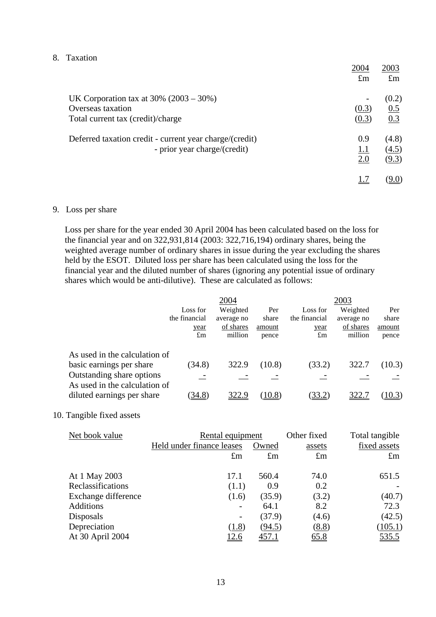## 8. Taxation

|                                                         | 2004        | 2003         |
|---------------------------------------------------------|-------------|--------------|
|                                                         | $\pounds$ m | $\pounds$ m  |
| UK Corporation tax at $30\%$ (2003 – 30%)               |             | (0.2)        |
| Overseas taxation                                       | (0.3)       | 0.5          |
| Total current tax (credit)/charge                       | (0.3)       | 0.3          |
| Deferred taxation credit - current year charge/(credit) | 0.9         | (4.8)        |
| - prior year charge/(credit)                            | 1.1         | (4.5)        |
|                                                         | 2.0         | (9.3)        |
|                                                         |             | <u>(9.0)</u> |

## 9. Loss per share

Loss per share for the year ended 30 April 2004 has been calculated based on the loss for the financial year and on 322,931,814 (2003: 322,716,194) ordinary shares, being the weighted average number of ordinary shares in issue during the year excluding the shares held by the ESOT. Diluted loss per share has been calculated using the loss for the financial year and the diluted number of shares (ignoring any potential issue of ordinary shares which would be anti-dilutive). These are calculated as follows:

|                                                                                                                         |               | 2004       |        |               | 2003       |        |
|-------------------------------------------------------------------------------------------------------------------------|---------------|------------|--------|---------------|------------|--------|
|                                                                                                                         | Loss for      | Weighted   | Per    | Loss for      | Weighted   | Per    |
|                                                                                                                         | the financial | average no | share  | the financial | average no | share  |
|                                                                                                                         | year          | of shares  | amount | year          | of shares  | amount |
|                                                                                                                         | $\pounds$ m   | million    | pence  | $\pounds$ m   | million    | pence  |
| As used in the calculation of<br>basic earnings per share<br>Outstanding share options<br>As used in the calculation of | (34.8)        | 322.9      | (10.8) | (33.2)        | 322.7      | (10.3) |
| diluted earnings per share                                                                                              | 34.8)         | 322.9      | (10.8) | (33.2)        | 322.       | 10.3)  |

### 10. Tangible fixed assets

| Net book value      | Rental equipment          | Other fixed | Total tangible |              |
|---------------------|---------------------------|-------------|----------------|--------------|
|                     | Held under finance leases | Owned       | assets         | fixed assets |
|                     | $\pounds$ m               | $\pounds$ m | $\pounds$ m    | $\pounds$ m  |
| At 1 May 2003       | 17.1                      | 560.4       | 74.0           | 651.5        |
| Reclassifications   | (1.1)                     | 0.9         | 0.2            |              |
| Exchange difference | (1.6)                     | (35.9)      | (3.2)          | (40.7)       |
| <b>Additions</b>    |                           | 64.1        | 8.2            | 72.3         |
| Disposals           | $\overline{\phantom{a}}$  | (37.9)      | (4.6)          | (42.5)       |
| Depreciation        | (1.8)                     | (94.5)      | (8.8)          | (105.1)      |
| At 30 April 2004    | <u>12.6</u>               | 457.1       | 65.8           | 535.5        |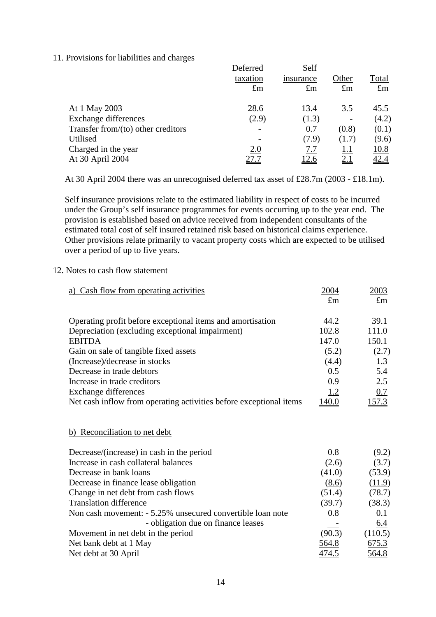### 11. Provisions for liabilities and charges

|                                       | Deferred    | Self        |             |              |
|---------------------------------------|-------------|-------------|-------------|--------------|
|                                       | taxation    | insurance   | Other       | <b>Total</b> |
|                                       | $\pounds$ m | $\pounds$ m | $\pounds$ m | $\pounds$ m  |
| At 1 May 2003                         | 28.6        | 13.4        | 3.5         | 45.5         |
| Exchange differences                  | (2.9)       | (1.3)       |             | (4.2)        |
| Transfer from/ $(to)$ other creditors |             | 0.7         | (0.8)       | (0.1)        |
| Utilised                              |             | (7.9)       | (1.7)       | (9.6)        |
| Charged in the year                   | 2.0         | 7.7         | <u>1.1</u>  | <u>10.8</u>  |
| At 30 April 2004                      |             | <u>12.6</u> | <u>2.1</u>  | <u>42.4</u>  |
|                                       |             |             |             |              |

At 30 April 2004 there was an unrecognised deferred tax asset of £28.7m (2003 - £18.1m).

Self insurance provisions relate to the estimated liability in respect of costs to be incurred under the Group's self insurance programmes for events occurring up to the year end. The provision is established based on advice received from independent consultants of the estimated total cost of self insured retained risk based on historical claims experience. Other provisions relate primarily to vacant property costs which are expected to be utilised over a period of up to five years.

# 12. Notes to cash flow statement

| a) Cash flow from operating activities                             | 2004        | 2003          |
|--------------------------------------------------------------------|-------------|---------------|
|                                                                    | $\pounds$ m | $\pounds$ m   |
| Operating profit before exceptional items and amortisation         | 44.2        | 39.1          |
| Depreciation (excluding exceptional impairment)                    | 102.8       | 111.0         |
| <b>EBITDA</b>                                                      | 147.0       | 150.1         |
| Gain on sale of tangible fixed assets                              | (5.2)       | (2.7)         |
| (Increase)/decrease in stocks                                      | (4.4)       | 1.3           |
| Decrease in trade debtors                                          | 0.5         | 5.4           |
| Increase in trade creditors                                        | 0.9         | 2.5           |
| <b>Exchange differences</b>                                        | 1.2         | 0.7           |
| Net cash inflow from operating activities before exceptional items | 140.0       | <u>157.3</u>  |
|                                                                    |             |               |
| b) Reconciliation to net debt                                      |             |               |
|                                                                    |             |               |
| Decrease/(increase) in cash in the period                          | 0.8         | (9.2)         |
| Increase in cash collateral balances                               | (2.6)       | (3.7)         |
| Decrease in bank loans                                             | (41.0)      | (53.9)        |
| Decrease in finance lease obligation                               | (8.6)       | <u>(11.9)</u> |
| Change in net debt from cash flows                                 | (51.4)      | (78.7)        |
| <b>Translation difference</b>                                      | (39.7)      | (38.3)        |
| Non cash movement: - 5.25% unsecured convertible loan note         | 0.8         | 0.1           |
| - obligation due on finance leases                                 |             | <u>6.4</u>    |
| Movement in net debt in the period                                 | (90.3)      | (110.5)       |
| Net bank debt at 1 May                                             | 564.8       | 675.3         |
| Net debt at 30 April                                               | 474.5       | <u>564.8</u>  |